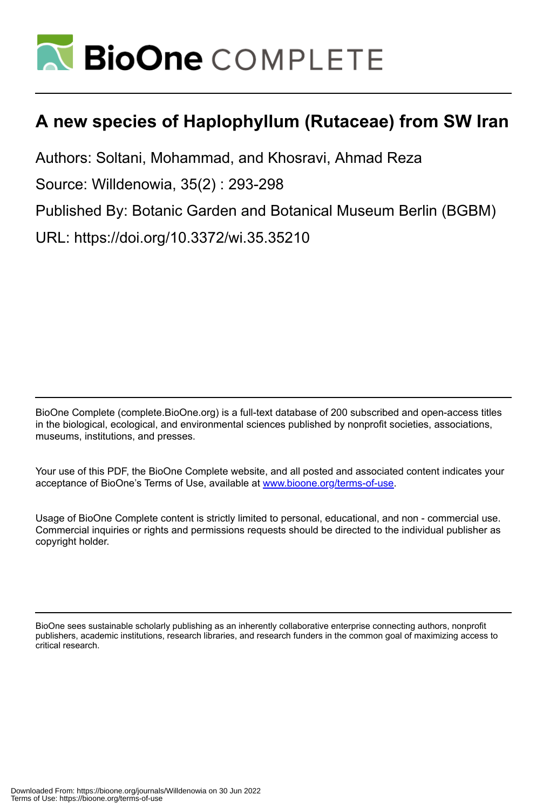

# **A new species of Haplophyllum (Rutaceae) from SW Iran**

Authors: Soltani, Mohammad, and Khosravi, Ahmad Reza

Source: Willdenowia, 35(2) : 293-298

Published By: Botanic Garden and Botanical Museum Berlin (BGBM)

URL: https://doi.org/10.3372/wi.35.35210

BioOne Complete (complete.BioOne.org) is a full-text database of 200 subscribed and open-access titles in the biological, ecological, and environmental sciences published by nonprofit societies, associations, museums, institutions, and presses.

Your use of this PDF, the BioOne Complete website, and all posted and associated content indicates your acceptance of BioOne's Terms of Use, available at www.bioone.org/terms-of-use.

Usage of BioOne Complete content is strictly limited to personal, educational, and non - commercial use. Commercial inquiries or rights and permissions requests should be directed to the individual publisher as copyright holder.

BioOne sees sustainable scholarly publishing as an inherently collaborative enterprise connecting authors, nonprofit publishers, academic institutions, research libraries, and research funders in the common goal of maximizing access to critical research.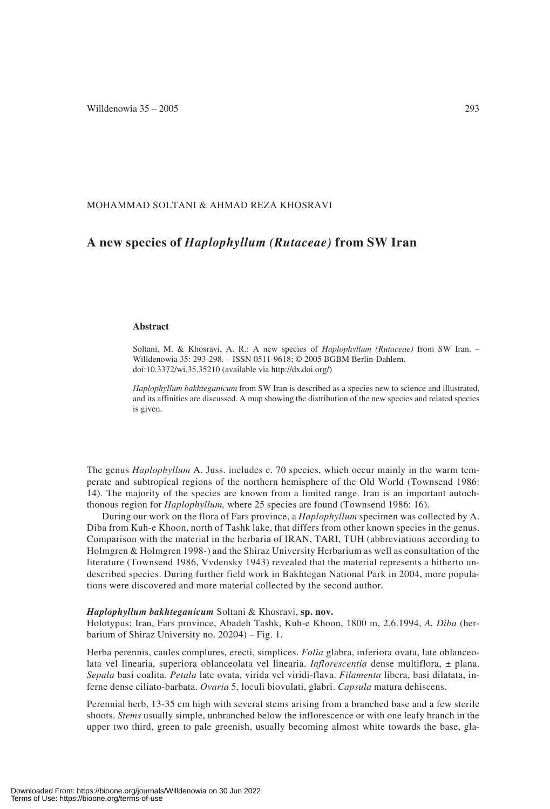## MOHAMMAD SOLTANI & AHMAD REZA KHOSRAVI

# **A new species of** *Haplophyllum (Rutaceae)* **from SW Iran**

#### **Abstract**

Soltani, M. & Khosravi, A. R.: A new species of *Haplophyllum (Rutaceae)* from SW Iran. – Willdenowia 35: 293-298. – ISSN 0511-9618; © 2005 BGBM Berlin-Dahlem. doi:10.3372/wi.35.35210 (available via http://dx.doi.org/)

*Haplophyllum bakhteganicum* from SW Iran is described as a species new to science and illustrated, and its affinities are discussed. A map showing the distribution of the new species and related species is given.

The genus *Haplophyllum* A. Juss. includes c. 70 species, which occur mainly in the warm temperate and subtropical regions of the northern hemisphere of the Old World (Townsend 1986: 14). The majority of the species are known from a limited range. Iran is an important autochthonous region for *Haplophyllum,* where 25 species are found (Townsend 1986: 16).

During our work on the flora of Fars province, a *Haplophyllum* specimen was collected by A. Diba from Kuh-e Khoon, north of Tashk lake, that differs from other known species in the genus. Comparison with the material in the herbaria of IRAN, TARI, TUH (abbreviations according to Holmgren & Holmgren 1998-) and the Shiraz University Herbarium as well as consultation of the literature (Townsend 1986, Vvdensky 1943) revealed that the material represents a hitherto undescribed species. During further field work in Bakhtegan National Park in 2004, more populations were discovered and more material collected by the second author.

#### *Haplophyllum bakhteganicum* Soltani & Khosravi, **sp. nov.**

Holotypus: Iran, Fars province, Abadeh Tashk, Kuh-e Khoon, 1800 m, 2.6.1994, *A. Diba* (herbarium of Shiraz University no. 20204) – Fig. 1.

Herba perennis, caules complures, erecti, simplices. *Folia* glabra, inferiora ovata, late oblanceolata vel linearia, superiora oblanceolata vel linearia. *Inflorescentia* dense multiflora, ± plana. *Sepala* basi coalita. *Petala* late ovata, virida vel viridi-flava. *Filamenta* libera, basi dilatata, inferne dense ciliato-barbata. *Ovaria* 5, loculi biovulati, glabri. *Capsula* matura dehiscens.

Perennial herb, 13-35 cm high with several stems arising from a branched base and a few sterile shoots. *Stems* usually simple, unbranched below the inflorescence or with one leafy branch in the upper two third, green to pale greenish, usually becoming almost white towards the base, gla-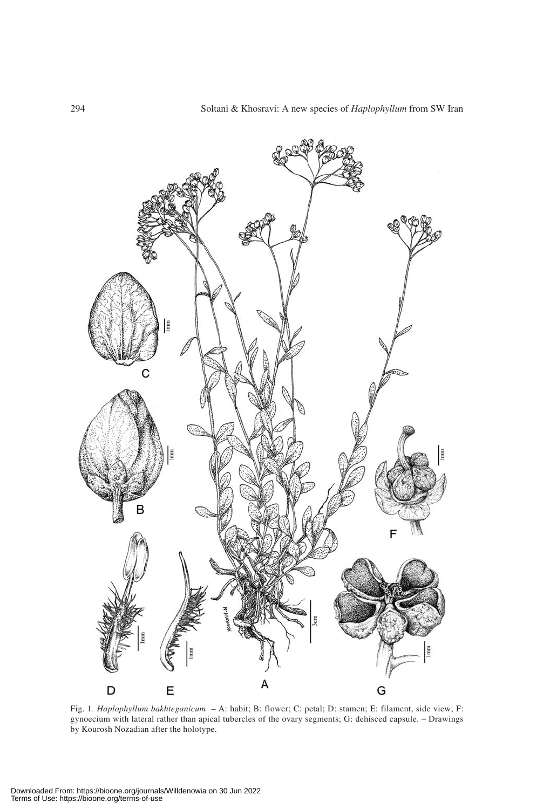

Fig. 1. *Haplophyllum bakhteganicum* – A: habit; B: flower; C: petal; D: stamen; E: filament, side view; F: gynoecium with lateral rather than apical tubercles of the ovary segments; G: dehisced capsule. – Drawings by Kourosh Nozadian after the holotype.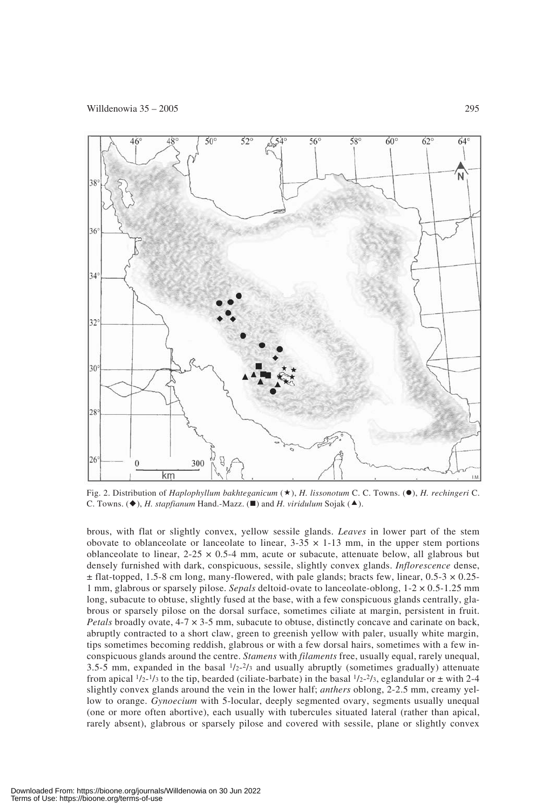

Fig. 2. Distribution of *Haplophyllum bakhteganicum* ( $\star$ ), *H. lissonotum* C. C. Towns. ( $\bullet$ ), *H. rechingeri* C. C. Towns. (◆), *H. stapfianum* Hand.-Mazz. (■) and *H. viridulum* Sojak (▲).

brous, with flat or slightly convex, yellow sessile glands. *Leaves* in lower part of the stem obovate to oblanceolate or lanceolate to linear,  $3-35 \times 1-13$  mm, in the upper stem portions oblanceolate to linear,  $2-25 \times 0.5-4$  mm, acute or subacute, attenuate below, all glabrous but densely furnished with dark, conspicuous, sessile, slightly convex glands. *Inflorescence* dense,  $\pm$  flat-topped, 1.5-8 cm long, many-flowered, with pale glands; bracts few, linear, 0.5-3  $\times$  0.25-1 mm, glabrous or sparsely pilose. *Sepals* deltoid-ovate to lanceolate-oblong, 1-2 × 0.5-1.25 mm long, subacute to obtuse, slightly fused at the base, with a few conspicuous glands centrally, glabrous or sparsely pilose on the dorsal surface, sometimes ciliate at margin, persistent in fruit. *Petals* broadly ovate, 4-7  $\times$  3-5 mm, subacute to obtuse, distinctly concave and carinate on back, abruptly contracted to a short claw, green to greenish yellow with paler, usually white margin, tips sometimes becoming reddish, glabrous or with a few dorsal hairs, sometimes with a few inconspicuous glands around the centre. *Stamens* with *filaments* free, usually equal, rarely unequal, 3.5-5 mm, expanded in the basal  $1/2-2/3$  and usually abruptly (sometimes gradually) attenuate from apical  $1/2-1/3$  to the tip, bearded (ciliate-barbate) in the basal  $1/2-2/3$ , eglandular or  $\pm$  with 2-4 slightly convex glands around the vein in the lower half; *anthers* oblong, 2-2.5 mm, creamy yellow to orange. *Gynoecium* with 5-locular, deeply segmented ovary, segments usually unequal (one or more often abortive), each usually with tubercules situated lateral (rather than apical, rarely absent), glabrous or sparsely pilose and covered with sessile, plane or slightly convex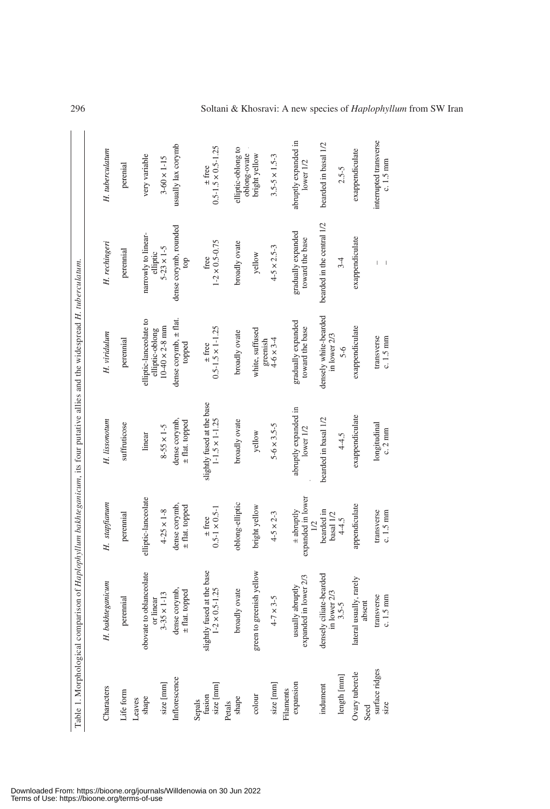|                                                                                                                                               | H. tuberculatum  | perenial     | very variable                             | $3-60\times1-15$                | usually lax corymb                  | $0.5 - 1.5 \times 0.5 - 1.25$<br>$\pm$ free         | elliptic-oblong to | oblong-ovate | bright yellow               | $3.5 - 5 \times 1.5 - 3$ | abruptly expanded in<br>lower1/2                   | bearded in basal 1/2                    | $2.5 - 5$   | exappendiculate                   | interrupted transverse<br>$c.1.5$ mm |
|-----------------------------------------------------------------------------------------------------------------------------------------------|------------------|--------------|-------------------------------------------|---------------------------------|-------------------------------------|-----------------------------------------------------|--------------------|--------------|-----------------------------|--------------------------|----------------------------------------------------|-----------------------------------------|-------------|-----------------------------------|--------------------------------------|
| Table 1. Morphological comparison of <i>Haplophyllum bakhteganicum</i> , its four putative allies and the widespread <i>H. tuberculatum</i> . | H. rechingeri    | perennial    | narrowly to linear-<br>elliptic           | $5 - 23 \times 1 - 5$           | dense corymb, rounded<br>top        | $1 - 2 \times 0.5 - 0.75$<br>free                   | broadly ovate      |              | yellow                      | $4 - 5 \times 2.5 - 3$   | gradually expanded<br>toward the base              | bearded in the central 1/2              | $3-4$       | exappendiculate                   |                                      |
|                                                                                                                                               | H. viridulum     | perennial    | elliptic-lanceolate to<br>elliptic-oblong | $10-40 \times 2-8$ mm           | dense corymb, $\pm$ flat.<br>topped | $0.5 - 1.5 \times 1 - 1.25$<br>$\pm$ free           | broadly ovate      |              | white, suffused<br>greenish | $4-6 \times 3-4$         | gradually expanded<br>toward the base              | densely white-bearded<br>in lower 2/3   | $5-6$       | exappendiculate                   | transverse<br>$c.1.5$ mm             |
|                                                                                                                                               | H. lissonotum    | suffruticose | linear                                    | $8 - 55 \times 1 - 5$           | dense corymb,<br>± flat. topped     | slightly fused at the base<br>$1-1.5 \times 1-1.25$ | broadly ovate      |              | yellow                      | $5 - 6 \times 3.5 - 5$   | abruptly expanded in<br>lower 1/2                  | bearded in basal 1/2                    | $4 - 4.5$   | exappendiculate                   | longitudinal<br>$c.2 \text{ mm}$     |
|                                                                                                                                               | H. stapfianum    | perennial    | elliptic-lanceolate                       | $4-25 \times 1-8$               | dense corymb,<br>± flat. topped     | $0.5 - 1 \times 0.5 - 1$<br>$\pm$ free              | oblong-elliptic    |              | bright yellow               | $4-5 \times 2-3$         | expanded in lower<br>$±$ abruptly<br>$\frac{1}{2}$ | bearded in<br>basal $1/2$               | $4 - 4.5$   | appendiculate                     | transverse<br>$c.1.5$ mm             |
|                                                                                                                                               | H. bakhteganicum | perennial    | obovate to oblanceolate                   | or linear<br>$3-35 \times 1-13$ | dense corymb,<br>$\pm$ flat. topped | slightly fused at the base<br>$1-2 \times 0.5-1.25$ | broadly ovate      |              | green to greenish yellow    | $4 - 7 \times 3 - 5$     | expanded in lower 2/3<br>usually abruptly          | densely ciliate-bearded<br>in lower 2/3 | $3.5 - 5$   | lateral usually, rarely<br>absent | transverse<br>$c. 1.5$ mm            |
|                                                                                                                                               | Characters       | Life form    | shape<br>Leaves                           | size [mm]                       | Inflorescence                       | Sepals<br>fusion<br>size [mm]                       | Petals<br>shape    |              | colour                      | size [mm]                | expansion<br>Filaments                             | indument                                | length [mm] | Ovary tubercle<br>Seed            | surface ridges<br>size               |

 $\bar{1}$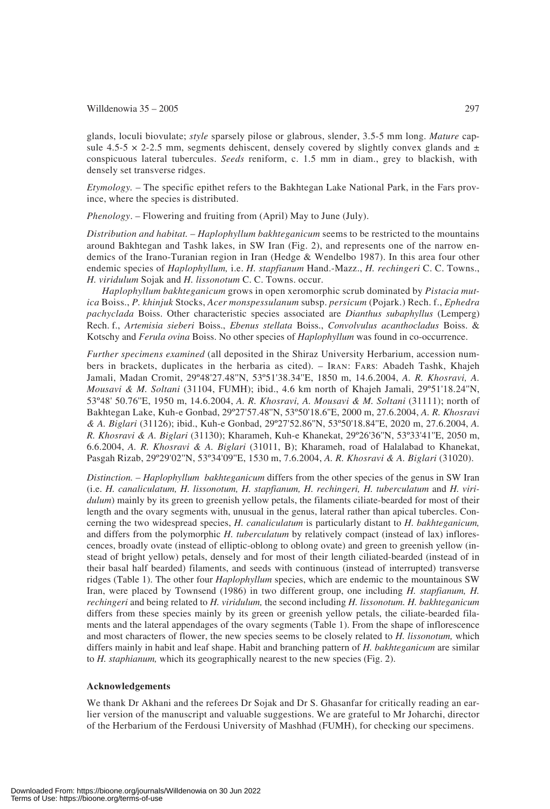#### Willdenowia  $35 - 2005$  297

glands, loculi biovulate; *style* sparsely pilose or glabrous, slender, 3.5-5 mm long. *Mature* capsule 4.5-5  $\times$  2-2.5 mm, segments dehiscent, densely covered by slightly convex glands and  $\pm$ conspicuous lateral tubercules. *Seeds* reniform, c. 1.5 mm in diam., grey to blackish, with densely set transverse ridges.

*Etymology.* – The specific epithet refers to the Bakhtegan Lake National Park, in the Fars province, where the species is distributed.

*Phenology*. – Flowering and fruiting from (April) May to June (July).

*Distribution and habitat.* – *Haplophyllum bakhteganicum* seems to be restricted to the mountains around Bakhtegan and Tashk lakes, in SW Iran (Fig. 2), and represents one of the narrow endemics of the Irano-Turanian region in Iran (Hedge & Wendelbo 1987). In this area four other endemic species of *Haplophyllum,* i.e. *H. stapfianum* Hand.-Mazz., *H. rechingeri* C. C. Towns., *H. viridulum* Sojak and *H. lissonotum* C. C. Towns. occur.

*Haplophyllum bakhteganicum* grows in open xeromorphic scrub dominated by *Pistacia mutica* Boiss., *P. khinjuk* Stocks, *Acer monspessulanum* subsp. *persicum* (Pojark.) Rech. f., *Ephedra pachyclada* Boiss. Other characteristic species associated are *Dianthus subaphyllus* (Lemperg) Rech. f., *Artemisia sieberi* Boiss., *Ebenus stellata* Boiss., *Convolvulus acanthocladus* Boiss. & Kotschy and *Ferula ovina* Boiss. No other species of *Haplophyllum* was found in co-occurrence.

*Further specimens examined* (all deposited in the Shiraz University Herbarium, accession numbers in brackets, duplicates in the herbaria as cited). – Iran: Fars: Abadeh Tashk, Khajeh Jamali, Madan Cromit, 29º48'27.48''N, 53º51'38.34''E, 1850 m, 14.6.2004, *A. R. Khosravi, A. Mousavi & M. Soltani* (31104, FUMH); ibid., 4.6 km north of Khajeh Jamali, 29º51'18.24''N, 53º48' 50.76''E, 1950 m, 14.6.2004, *A. R. Khosravi, A. Mousavi & M. Soltani* (31111); north of Bakhtegan Lake, Kuh-e Gonbad, 29º27'57.48''N, 53º50'18.6''E, 2000 m, 27.6.2004, *A. R. Khosravi & A. Biglari* (31126); ibid., Kuh-e Gonbad, 29º27'52.86''N, 53º50'18.84''E, 2020 m, 27.6.2004, *A. R. Khosravi & A. Biglari* (31130); Kharameh, Kuh-e Khanekat, 29º26'36''N, 53º33'41''E, 2050 m, 6.6.2004, *A. R. Khosravi & A. Biglari* (31011, B); Kharameh, road of Halalabad to Khanekat, Pasgah Rizab, 29º29'02''N, 53º34'09''E, 1530 m, 7.6.2004, *A. R. Khosravi & A. Biglari* (31020).

*Distinction.* – *Haplophyllum bakhteganicum* differs from the other species of the genus in SW Iran (i.e. *H. canaliculatum, H. lissonotum, H. stapfianum, H. rechingeri, H. tuberculatum* and *H. viridulum*) mainly by its green to greenish yellow petals, the filaments ciliate-bearded for most of their length and the ovary segments with, unusual in the genus, lateral rather than apical tubercles. Concerning the two widespread species, *H. canaliculatum* is particularly distant to *H. bakhteganicum,* and differs from the polymorphic *H. tuberculatum* by relatively compact (instead of lax) inflorescences, broadly ovate (instead of elliptic-oblong to oblong ovate) and green to greenish yellow (instead of bright yellow) petals, densely and for most of their length ciliated-bearded (instead of in their basal half bearded) filaments, and seeds with continuous (instead of interrupted) transverse ridges (Table 1). The other four *Haplophyllum* species, which are endemic to the mountainous SW Iran, were placed by Townsend (1986) in two different group, one including *H. stapfianum, H. rechingeri* and being related to *H. viridulum,* the second including *H. lissonotum. H. bakhteganicum* differs from these species mainly by its green or greenish yellow petals, the ciliate-bearded filaments and the lateral appendages of the ovary segments (Table 1). From the shape of inflorescence and most characters of flower, the new species seems to be closely related to *H. lissonotum,* which differs mainly in habit and leaf shape. Habit and branching pattern of *H. bakhteganicum* are similar to *H. staphianum,* which its geographically nearest to the new species (Fig. 2).

#### **Acknowledgements**

We thank Dr Akhani and the referees Dr Sojak and Dr S. Ghasanfar for critically reading an earlier version of the manuscript and valuable suggestions. We are grateful to Mr Joharchi, director of the Herbarium of the Ferdousi University of Mashhad (FUMH), for checking our specimens.